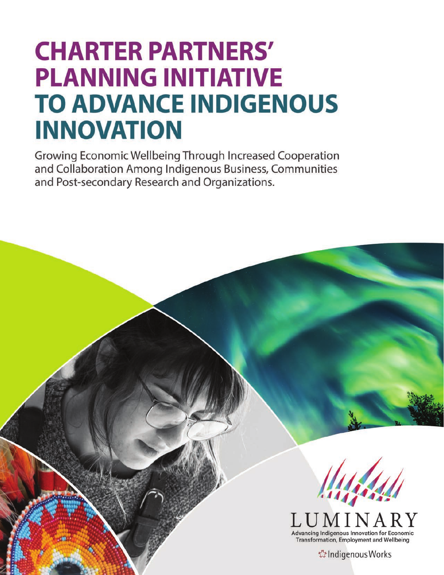# **CHARTER PARTNERS' PLANNING INITIATIVE TO ADVANCE INDIGENOUS INNOVATION**

Growing Economic Wellbeing Through Increased Cooperation and Collaboration Among Indigenous Business, Communities and Post-secondary Research and Organizations.



Advancing Indigenous Innovation for Economic **Transformation, Employment and Wellbeing** 

៉េ Indigenous Works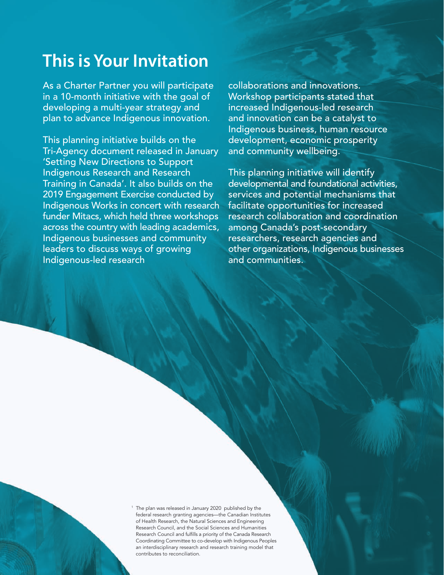# **This is Your Invitation**

As a Charter Partner you will participate in a 10-month initiative with the goal of developing a multi-year strategy and plan to advance Indigenous innovation.

This planning initiative builds on the Tri-Agency document released in January 'Setting New Directions to Support Indigenous Research and Research Training in Canada'. It also builds on the 2019 Engagement Exercise conducted by Indigenous Works in concert with research funder Mitacs, which held three workshops across the country with leading academics, Indigenous businesses and community leaders to discuss ways of growing Indigenous-led research

collaborations and innovations. Workshop participants stated that increased Indigenous-led research and innovation can be a catalyst to Indigenous business, human resource development, economic prosperity and community wellbeing.

This planning initiative will identify developmental and foundational activities, services and potential mechanisms that facilitate opportunities for increased research collaboration and coordination among Canada's post-secondary researchers, research agencies and other organizations, Indigenous businesses and communities.

<sup>1</sup> The plan was released in January 2020 published by the federal research granting agencies—the Canadian Institutes of Health Research, the Natural Sciences and Engineering Research Council, and the Social Sciences and Humanities Research Council and fulfills a priority of the Canada Research Coordinating Committee to co-develop with Indigenous Peoples an interdisciplinary research and research training model that contributes to reconciliation.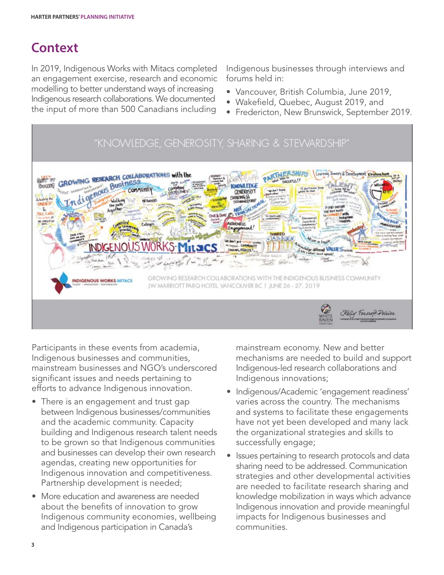# **Context**

In 2019, Indigenous Works with Mitacs completed an engagement exercise, research and economic modelling to better understand ways of increasing Indigenous research collaborations. We documented the input of more than 500 Canadians including

Indigenous businesses through interviews and forums held in:

- Vancouver, British Columbia, June 2019,
- Wakefield, Quebec, August 2019, and
- Fredericton, New Brunswick, September 2019.



Participants in these events from academia, Indigenous businesses and communities, mainstream businesses and NGO's underscored significant issues and needs pertaining to efforts to advance Indigenous innovation.

- There is an engagement and trust gap between Indigenous businesses/communities and the academic community. Capacity building and Indigenous research talent needs to be grown so that Indigenous communities and businesses can develop their own research agendas, creating new opportunities for Indigenous innovation and competitiveness. Partnership development is needed;
- More education and awareness are needed about the benefits of innovation to grow Indigenous community economies, wellbeing and Indigenous participation in Canada's

mainstream economy. New and better mechanisms are needed to build and support Indigenous-led research collaborations and Indigenous innovations;

- Indigenous/Academic 'engagement readiness' varies across the country. The mechanisms and systems to facilitate these engagements have not yet been developed and many lack the organizational strategies and skills to successfully engage;
- Issues pertaining to research protocols and data sharing need to be addressed. Communication strategies and other developmental activities are needed to facilitate research sharing and knowledge mobilization in ways which advance Indigenous innovation and provide meaningful impacts for Indigenous businesses and communities.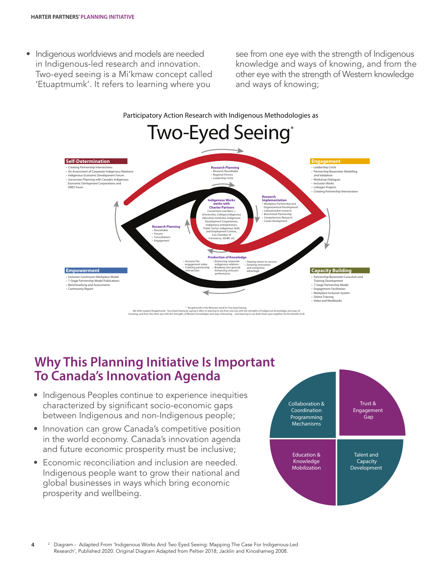• Indigenous worldviews and models are needed in Indigenous-led research and innovation. Two-eyed seeing is a Mi'kmaw concept called 'Etuaptmumk'. It refers to learning where you

see from one eye with the strength of Indigenous knowledge and ways of knowing, and from the other eye with the strength of Western knowledge and ways of knowing;



### **Why This Planning Initiative Is Important To Canada's Innovation Agenda**

- Indigenous Peoples continue to experience inequities characterized by significant socio-economic gaps between Indigenous and non-Indigenous people;
- Innovation can grow Canada's competitive position in the world economy. Canada's innovation agenda and future economic prosperity must be inclusive;
- Economic reconciliation and inclusion are needed. Indigenous people want to grow their national and global businesses in ways which bring economic prosperity and wellbeing.

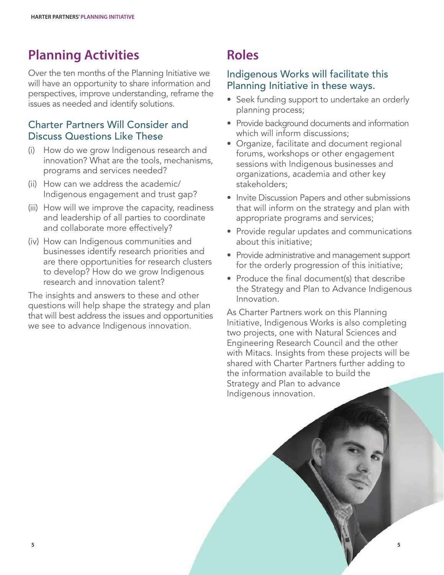# **Planning Activities**

Over the ten months of the Planning Initiative we will have an opportunity to share information and perspectives, improve understanding, reframe the issues as needed and identify solutions.

#### Charter Partners Will Consider and Discuss Questions Like These

- (i) How do we grow Indigenous research and innovation? What are the tools, mechanisms, programs and services needed?
- (ii) How can we address the academic/ Indigenous engagement and trust gap?
- (iii) How will we improve the capacity, readiness and leadership of all parties to coordinate and collaborate more effectively?
- (iv) How can Indigenous communities and businesses identify research priorities and are there opportunities for research clusters to develop? How do we grow Indigenous research and innovation talent?

The insights and answers to these and other questions will help shape the strategy and plan that will best address the issues and opportunities we see to advance Indigenous innovation.

# **Roles**

#### Indigenous Works will facilitate this Planning Initiative in these ways.

- Seek funding support to undertake an orderly planning process;
- Provide background documents and information which will inform discussions;
- Organize, facilitate and document regional forums, workshops or other engagement sessions with Indigenous businesses and organizations, academia and other key stakeholders;
- Invite Discussion Papers and other submissions that will inform on the strategy and plan with appropriate programs and services;
- Provide regular updates and communications about this initiative;
- Provide administrative and management support for the orderly progression of this initiative;
- Produce the final document(s) that describe the Strategy and Plan to Advance Indigenous Innovation.

As Charter Partners work on this Planning Initiative, Indigenous Works is also completing two projects, one with Natural Sciences and Engineering Research Council and the other with Mitacs. Insights from these projects will be shared with Charter Partners further adding to the information available to build the Strategy and Plan to advance Indigenous innovation.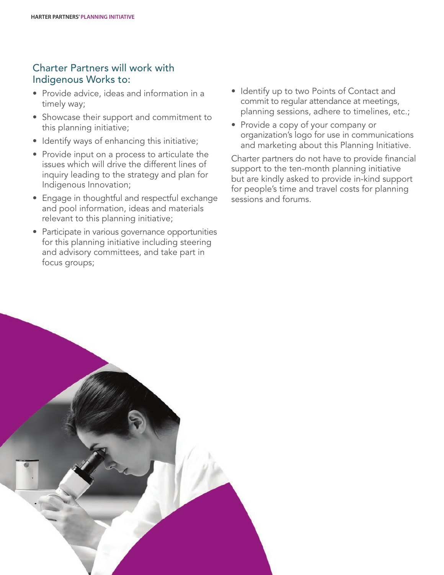#### Charter Partners will work with Indigenous Works to:

- Provide advice, ideas and information in a timely way;
- Showcase their support and commitment to this planning initiative;
- Identify ways of enhancing this initiative;
- Provide input on a process to articulate the issues which will drive the different lines of inquiry leading to the strategy and plan for Indigenous Innovation;
- Engage in thoughtful and respectful exchange and pool information, ideas and materials relevant to this planning initiative;
- Participate in various governance opportunities for this planning initiative including steering and advisory committees, and take part in focus groups;
- Identify up to two Points of Contact and commit to regular attendance at meetings, planning sessions, adhere to timelines, etc.;
- Provide a copy of your company or organization's logo for use in communications and marketing about this Planning Initiative.

Charter partners do not have to provide financial support to the ten-month planning initiative but are kindly asked to provide in-kind support for people's time and travel costs for planning sessions and forums.

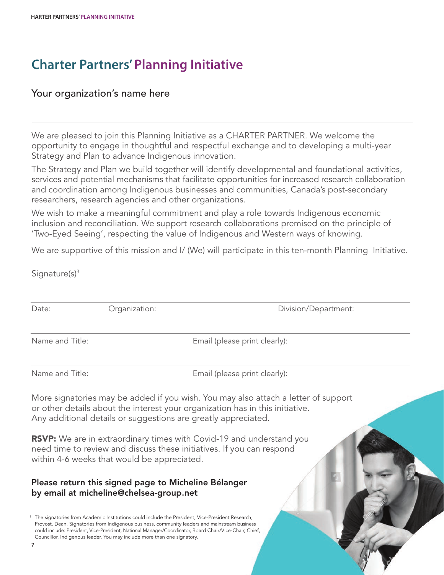# **Charter Partners'Planning Initiative**

#### Your organization's name here

We are pleased to join this Planning Initiative as a CHARTER PARTNER. We welcome the opportunity to engage in thoughtful and respectful exchange and to developing a multi-year Strategy and Plan to advance Indigenous innovation.

The Strategy and Plan we build together will identify developmental and foundational activities, services and potential mechanisms that facilitate opportunities for increased research collaboration and coordination among Indigenous businesses and communities, Canada's post-secondary researchers, research agencies and other organizations.

We wish to make a meaningful commitment and play a role towards Indigenous economic inclusion and reconciliation. We support research collaborations premised on the principle of 'Two-Eyed Seeing', respecting the value of Indigenous and Western ways of knowing.

We are supportive of this mission and I/ (We) will participate in this ten-month Planning Initiative.

| Signature $(s)^3$ |                                                                                                                                                                                                                                                                                                                                                                                         |                                                                                                                                                                                                                                       |
|-------------------|-----------------------------------------------------------------------------------------------------------------------------------------------------------------------------------------------------------------------------------------------------------------------------------------------------------------------------------------------------------------------------------------|---------------------------------------------------------------------------------------------------------------------------------------------------------------------------------------------------------------------------------------|
| Date:             | Organization:                                                                                                                                                                                                                                                                                                                                                                           | Division/Department:                                                                                                                                                                                                                  |
| Name and Title:   |                                                                                                                                                                                                                                                                                                                                                                                         | Email (please print clearly):                                                                                                                                                                                                         |
| Name and Title:   |                                                                                                                                                                                                                                                                                                                                                                                         | Email (please print clearly):                                                                                                                                                                                                         |
|                   |                                                                                                                                                                                                                                                                                                                                                                                         | More signatories may be added if you wish. You may also attach a letter of support<br>or other details about the interest your organization has in this initiative.<br>Any additional details or suggestions are greatly appreciated. |
|                   | within 4-6 weeks that would be appreciated.                                                                                                                                                                                                                                                                                                                                             | <b>RSVP:</b> We are in extraordinary times with Covid-19 and understand you<br>need time to review and discuss these initiatives. If you can respond                                                                                  |
|                   | Please return this signed page to Micheline Bélanger<br>by email at micheline@chelsea-group.net                                                                                                                                                                                                                                                                                         |                                                                                                                                                                                                                                       |
| 7                 | The signatories from Academic Institutions could include the President, Vice-President Research,<br>Provost, Dean. Signatories from Indigenous business, community leaders and mainstream business<br>could include: President, Vice-President, National Manager/Coordinator, Board Chair/Vice-Chair, Chief,<br>Councillor, Indigenous leader. You may include more than one signatory. |                                                                                                                                                                                                                                       |